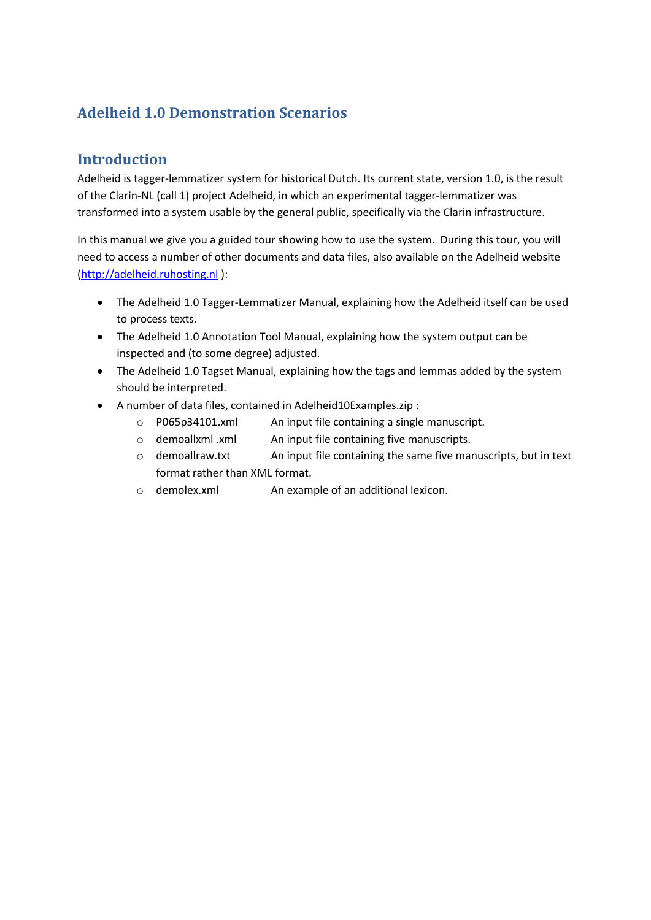# **Adelheid 1.0 Demonstration Scenarios**

#### **Introduction**

Adelheid is tagger-lemmatizer system for historical Dutch. Its current state, version 1.0, is the result of the Clarin-NL (call 1) project Adelheid, in which an experimental tagger-lemmatizer was transformed into a system usable by the general public, specifically via the Clarin infrastructure.

In this manual we give you a guided tour showing how to use the system. During this tour, you will need to access a number of other documents and data files, also available on the Adelheid website [\(http://adelheid.ruhosting.nl](http://adelheid.ruhosting.nl/) ):

- The Adelheid 1.0 Tagger-Lemmatizer Manual, explaining how the Adelheid itself can be used to process texts.
- The Adelheid 1.0 Annotation Tool Manual, explaining how the system output can be inspected and (to some degree) adjusted.
- The Adelheid 1.0 Tagset Manual, explaining how the tags and lemmas added by the system should be interpreted.
- A number of data files, contained in Adelheid10Examples.zip :
	- o P065p34101.xml An input file containing a single manuscript.
	- o demoallxml .xml An input file containing five manuscripts.
	- o demoallraw.txt An input file containing the same five manuscripts, but in text format rather than XML format.
	- o demolex.xml An example of an additional lexicon.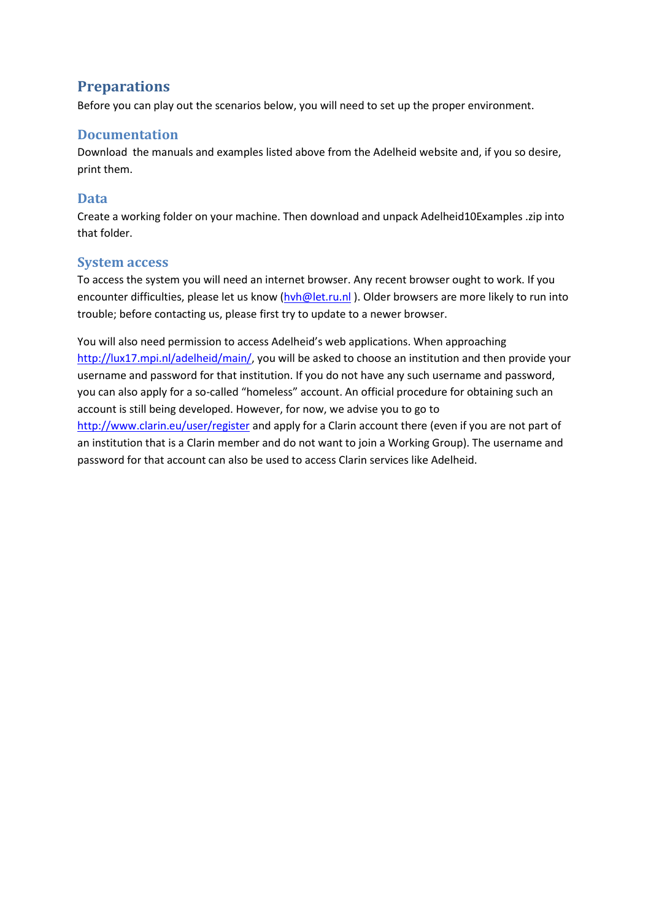### **Preparations**

Before you can play out the scenarios below, you will need to set up the proper environment.

#### **Documentation**

Download the manuals and examples listed above from the Adelheid website and, if you so desire, print them.

#### **Data**

Create a working folder on your machine. Then download and unpack Adelheid10Examples .zip into that folder.

#### **System access**

To access the system you will need an internet browser. Any recent browser ought to work. If you encounter difficulties, please let us know [\(hvh@let.ru.nl](mailto:hvh@let.ru.nl)). Older browsers are more likely to run into trouble; before contacting us, please first try to update to a newer browser.

You will also need permission to access Adelheid's web applications. When approaching [http://lux17.mpi.nl/adelheid/main/,](http://lux17.mpi.nl/adelheid/main/) you will be asked to choose an institution and then provide your username and password for that institution. If you do not have any such username and password, you can also apply for a so-called "homeless" account. An official procedure for obtaining such an account is still being developed. However, for now, we advise you to go to <http://www.clarin.eu/user/register> and apply for a Clarin account there (even if you are not part of an institution that is a Clarin member and do not want to join a Working Group). The username and password for that account can also be used to access Clarin services like Adelheid.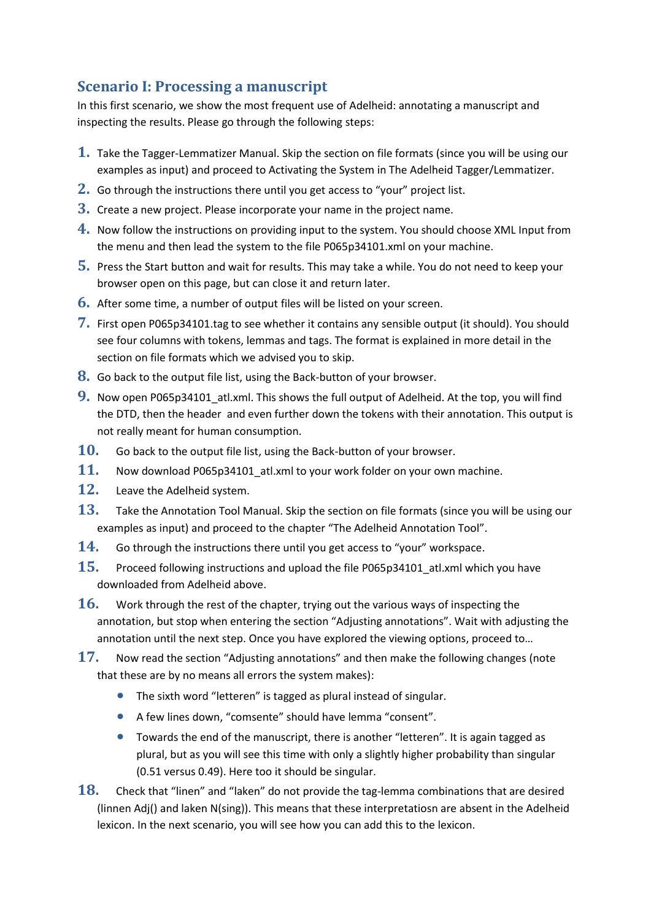### **Scenario I: Processing a manuscript**

In this first scenario, we show the most frequent use of Adelheid: annotating a manuscript and inspecting the results. Please go through the following steps:

- **1.** Take the Tagger-Lemmatizer Manual. Skip the section on file formats (since you will be using our examples as input) and proceed to Activating the System in The Adelheid Tagger/Lemmatizer.
- **2.** Go through the instructions there until you get access to "your" project list.
- **3.** Create a new project. Please incorporate your name in the project name.
- **4.** Now follow the instructions on providing input to the system. You should choose XML Input from the menu and then lead the system to the file P065p34101.xml on your machine.
- **5.** Press the Start button and wait for results. This may take a while. You do not need to keep your browser open on this page, but can close it and return later.
- **6.** After some time, a number of output files will be listed on your screen.
- **7.** First open P065p34101.tag to see whether it contains any sensible output (it should). You should see four columns with tokens, lemmas and tags. The format is explained in more detail in the section on file formats which we advised you to skip.
- **8.** Go back to the output file list, using the Back-button of your browser.
- **9.** Now open P065p34101 atl.xml. This shows the full output of Adelheid. At the top, you will find the DTD, then the header and even further down the tokens with their annotation. This output is not really meant for human consumption.
- **10.** Go back to the output file list, using the Back-button of your browser.
- **11.** Now download P065p34101\_atl.xml to your work folder on your own machine.
- **12.** Leave the Adelheid system.
- **13.** Take the Annotation Tool Manual. Skip the section on file formats (since you will be using our examples as input) and proceed to the chapter "The Adelheid Annotation Tool".
- **14.** Go through the instructions there until you get access to "your" workspace.
- **15.** Proceed following instructions and upload the file P065p34101 atl.xml which you have downloaded from Adelheid above.
- **16.** Work through the rest of the chapter, trying out the various ways of inspecting the annotation, but stop when entering the section "Adjusting annotations". Wait with adjusting the annotation until the next step. Once you have explored the viewing options, proceed to…
- **17.** Now read the section "Adjusting annotations" and then make the following changes (note that these are by no means all errors the system makes):
	- The sixth word "letteren" is tagged as plural instead of singular.
	- A few lines down, "comsente" should have lemma "consent".
	- Towards the end of the manuscript, there is another "letteren". It is again tagged as plural, but as you will see this time with only a slightly higher probability than singular (0.51 versus 0.49). Here too it should be singular.
- **18.** Check that "linen" and "laken" do not provide the tag-lemma combinations that are desired (linnen Adj() and laken N(sing)). This means that these interpretatiosn are absent in the Adelheid lexicon. In the next scenario, you will see how you can add this to the lexicon.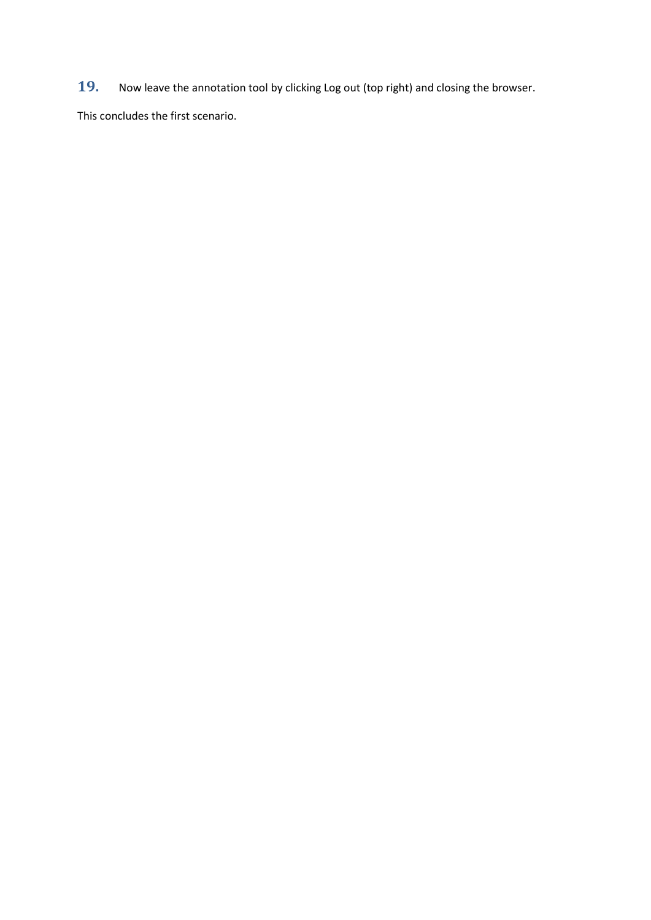**19.** Now leave the annotation tool by clicking Log out (top right) and closing the browser.

This concludes the first scenario.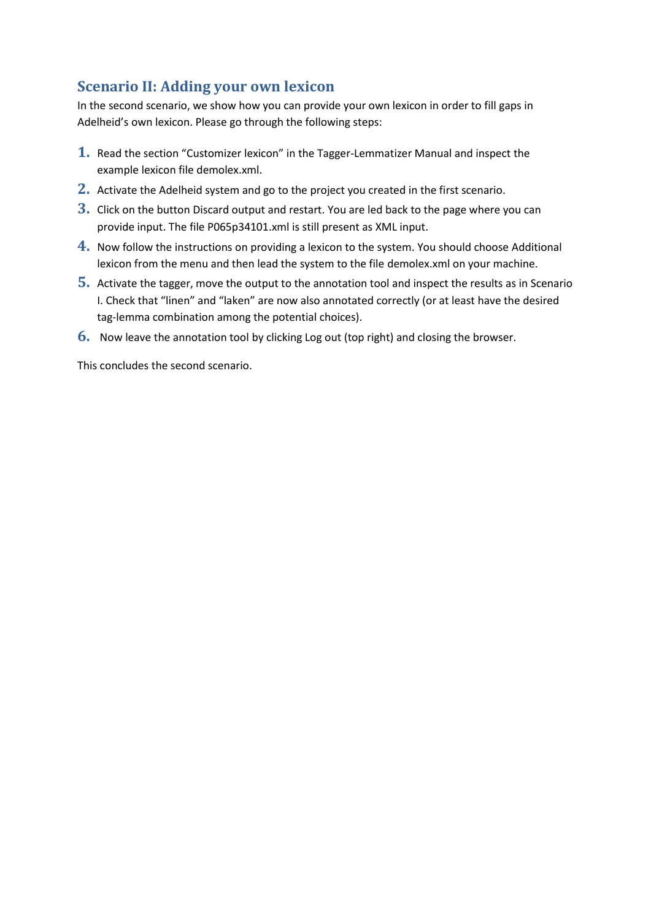# **Scenario II: Adding your own lexicon**

In the second scenario, we show how you can provide your own lexicon in order to fill gaps in Adelheid's own lexicon. Please go through the following steps:

- **1.** Read the section "Customizer lexicon" in the Tagger-Lemmatizer Manual and inspect the example lexicon file demolex.xml.
- **2.** Activate the Adelheid system and go to the project you created in the first scenario.
- **3.** Click on the button Discard output and restart. You are led back to the page where you can provide input. The file P065p34101.xml is still present as XML input.
- **4.** Now follow the instructions on providing a lexicon to the system. You should choose Additional lexicon from the menu and then lead the system to the file demolex.xml on your machine.
- **5.** Activate the tagger, move the output to the annotation tool and inspect the results as in Scenario I. Check that "linen" and "laken" are now also annotated correctly (or at least have the desired tag-lemma combination among the potential choices).
- **6.** Now leave the annotation tool by clicking Log out (top right) and closing the browser.

This concludes the second scenario.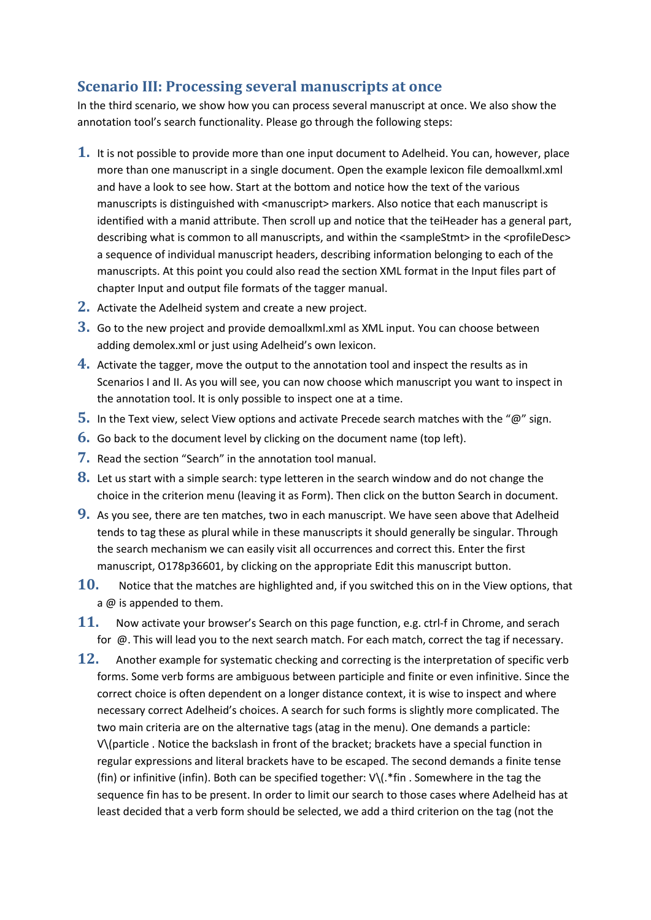#### **Scenario III: Processing several manuscripts at once**

In the third scenario, we show how you can process several manuscript at once. We also show the annotation tool's search functionality. Please go through the following steps:

- **1.** It is not possible to provide more than one input document to Adelheid. You can, however, place more than one manuscript in a single document. Open the example lexicon file demoallxml.xml and have a look to see how. Start at the bottom and notice how the text of the various manuscripts is distinguished with <manuscript> markers. Also notice that each manuscript is identified with a manid attribute. Then scroll up and notice that the teiHeader has a general part, describing what is common to all manuscripts, and within the <sampleStmt> in the <profileDesc> a sequence of individual manuscript headers, describing information belonging to each of the manuscripts. At this point you could also read the section XML format in the Input files part of chapter Input and output file formats of the tagger manual.
- **2.** Activate the Adelheid system and create a new project.
- **3.** Go to the new project and provide demoallxml.xml as XML input. You can choose between adding demolex.xml or just using Adelheid's own lexicon.
- **4.** Activate the tagger, move the output to the annotation tool and inspect the results as in Scenarios I and II. As you will see, you can now choose which manuscript you want to inspect in the annotation tool. It is only possible to inspect one at a time.
- **5.** In the Text view, select View options and activate Precede search matches with the "@" sign.
- **6.** Go back to the document level by clicking on the document name (top left).
- **7.** Read the section "Search" in the annotation tool manual.
- **8.** Let us start with a simple search: type letteren in the search window and do not change the choice in the criterion menu (leaving it as Form). Then click on the button Search in document.
- **9.** As you see, there are ten matches, two in each manuscript. We have seen above that Adelheid tends to tag these as plural while in these manuscripts it should generally be singular. Through the search mechanism we can easily visit all occurrences and correct this. Enter the first manuscript, O178p36601, by clicking on the appropriate Edit this manuscript button.
- **10.** Notice that the matches are highlighted and, if you switched this on in the View options, that a @ is appended to them.
- **11.** Now activate your browser's Search on this page function, e.g. ctrl-f in Chrome, and serach for @. This will lead you to the next search match. For each match, correct the tag if necessary.
- **12.** Another example for systematic checking and correcting is the interpretation of specific verb forms. Some verb forms are ambiguous between participle and finite or even infinitive. Since the correct choice is often dependent on a longer distance context, it is wise to inspect and where necessary correct Adelheid's choices. A search for such forms is slightly more complicated. The two main criteria are on the alternative tags (atag in the menu). One demands a particle: V\(particle . Notice the backslash in front of the bracket; brackets have a special function in regular expressions and literal brackets have to be escaped. The second demands a finite tense (fin) or infinitive (infin). Both can be specified together: V\(.\*fin . Somewhere in the tag the sequence fin has to be present. In order to limit our search to those cases where Adelheid has at least decided that a verb form should be selected, we add a third criterion on the tag (not the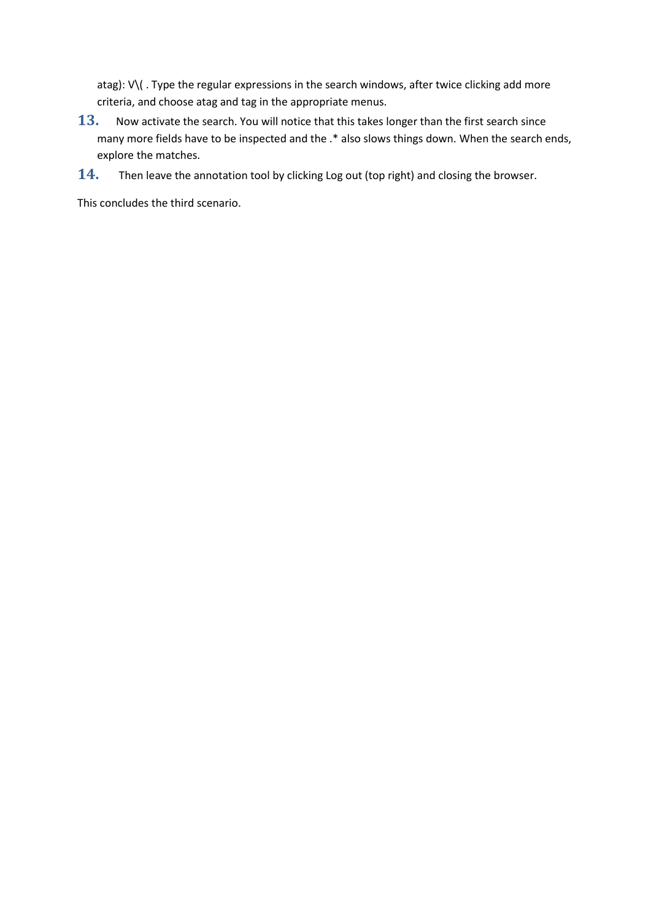atag): V\(. Type the regular expressions in the search windows, after twice clicking add more criteria, and choose atag and tag in the appropriate menus.

- **13.** Now activate the search. You will notice that this takes longer than the first search since many more fields have to be inspected and the .\* also slows things down. When the search ends, explore the matches.
- **14.** Then leave the annotation tool by clicking Log out (top right) and closing the browser.

This concludes the third scenario.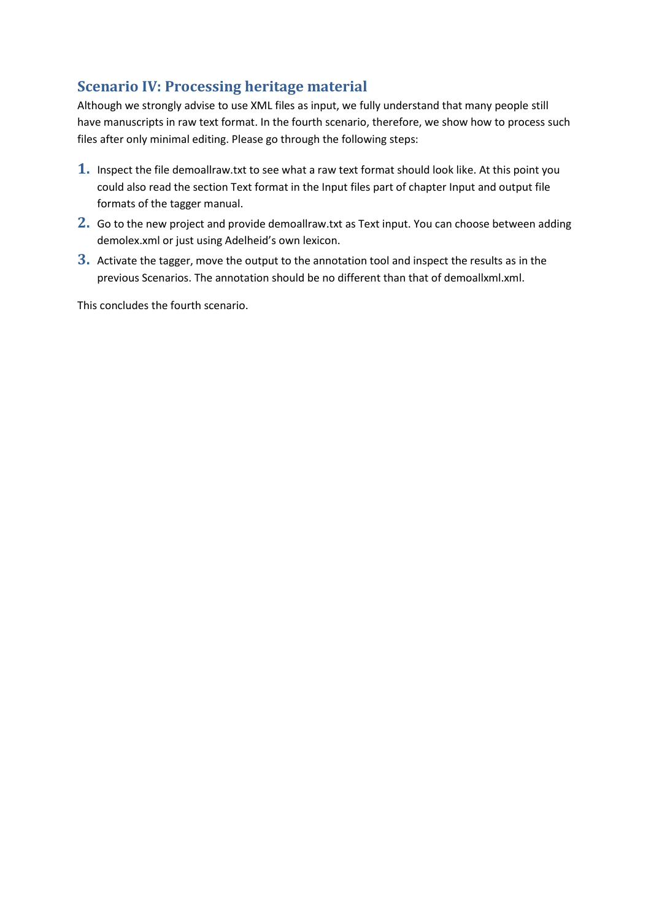# **Scenario IV: Processing heritage material**

Although we strongly advise to use XML files as input, we fully understand that many people still have manuscripts in raw text format. In the fourth scenario, therefore, we show how to process such files after only minimal editing. Please go through the following steps:

- **1.** Inspect the file demoallraw.txt to see what a raw text format should look like. At this point you could also read the section Text format in the Input files part of chapter Input and output file formats of the tagger manual.
- **2.** Go to the new project and provide demoallraw.txt as Text input. You can choose between adding demolex.xml or just using Adelheid's own lexicon.
- **3.** Activate the tagger, move the output to the annotation tool and inspect the results as in the previous Scenarios. The annotation should be no different than that of demoallxml.xml.

This concludes the fourth scenario.